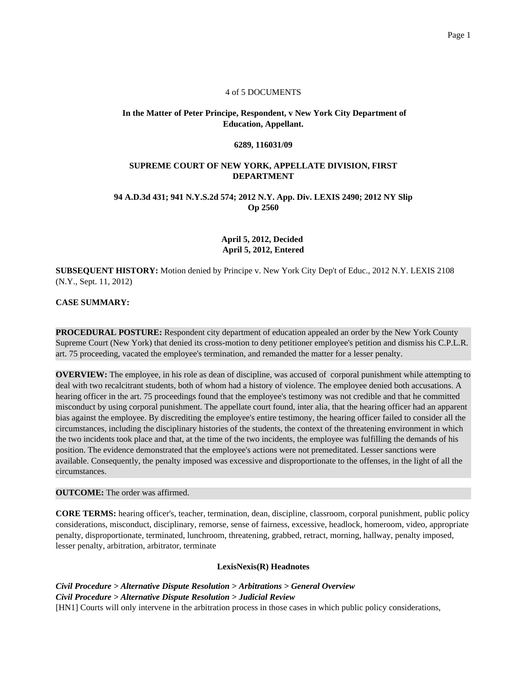#### 4 of 5 DOCUMENTS

# **In the Matter of Peter Principe, Respondent, v New York City Department of Education, Appellant.**

#### **6289, 116031/09**

#### **SUPREME COURT OF NEW YORK, APPELLATE DIVISION, FIRST DEPARTMENT**

### **94 A.D.3d 431; 941 N.Y.S.2d 574; 2012 N.Y. App. Div. LEXIS 2490; 2012 NY Slip Op 2560**

# **April 5, 2012, Decided April 5, 2012, Entered**

**SUBSEQUENT HISTORY:** Motion denied by Principe v. New York City Dep't of Educ., 2012 N.Y. LEXIS 2108 (N.Y., Sept. 11, 2012)

## **CASE SUMMARY:**

**PROCEDURAL POSTURE:** Respondent city department of education appealed an order by the New York County Supreme Court (New York) that denied its cross-motion to deny petitioner employee's petition and dismiss his C.P.L.R. art. 75 proceeding, vacated the employee's termination, and remanded the matter for a lesser penalty.

**OVERVIEW:** The employee, in his role as dean of discipline, was accused of corporal punishment while attempting to deal with two recalcitrant students, both of whom had a history of violence. The employee denied both accusations. A hearing officer in the art. 75 proceedings found that the employee's testimony was not credible and that he committed misconduct by using corporal punishment. The appellate court found, inter alia, that the hearing officer had an apparent bias against the employee. By discrediting the employee's entire testimony, the hearing officer failed to consider all the circumstances, including the disciplinary histories of the students, the context of the threatening environment in which the two incidents took place and that, at the time of the two incidents, the employee was fulfilling the demands of his position. The evidence demonstrated that the employee's actions were not premeditated. Lesser sanctions were available. Consequently, the penalty imposed was excessive and disproportionate to the offenses, in the light of all the circumstances.

#### **OUTCOME:** The order was affirmed.

**CORE TERMS:** hearing officer's, teacher, termination, dean, discipline, classroom, corporal punishment, public policy considerations, misconduct, disciplinary, remorse, sense of fairness, excessive, headlock, homeroom, video, appropriate penalty, disproportionate, terminated, lunchroom, threatening, grabbed, retract, morning, hallway, penalty imposed, lesser penalty, arbitration, arbitrator, terminate

# **LexisNexis(R) Headnotes**

*Civil Procedure > Alternative Dispute Resolution > Arbitrations > General Overview Civil Procedure > Alternative Dispute Resolution > Judicial Review* [HN1] Courts will only intervene in the arbitration process in those cases in which public policy considerations,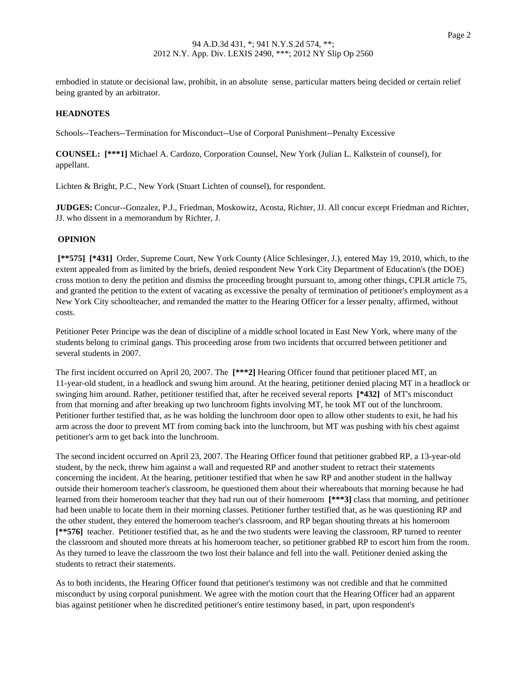embodied in statute or decisional law, prohibit, in an absolute sense, particular matters being decided or certain relief being granted by an arbitrator.

## **HEADNOTES**

Schools--Teachers--Termination for Misconduct--Use of Corporal Punishment--Penalty Excessive

**COUNSEL: [\*\*\*1]** Michael A. Cardozo, Corporation Counsel, New York (Julian L. Kalkstein of counsel), for appellant.

Lichten & Bright, P.C., New York (Stuart Lichten of counsel), for respondent.

**JUDGES:** Concur--Gonzalez, P.J., Friedman, Moskowitz, Acosta, Richter, JJ. All concur except Friedman and Richter, JJ. who dissent in a memorandum by Richter, J.

### **OPINION**

**[\*\*575] [\*431]** Order, Supreme Court, New York County (Alice Schlesinger, J.), entered May 19, 2010, which, to the extent appealed from as limited by the briefs, denied respondent New York City Department of Education's (the DOE) cross motion to deny the petition and dismiss the proceeding brought pursuant to, among other things, CPLR article 75, and granted the petition to the extent of vacating as excessive the penalty of termination of petitioner's employment as a New York City schoolteacher, and remanded the matter to the Hearing Officer for a lesser penalty, affirmed, without costs.

Petitioner Peter Principe was the dean of discipline of a middle school located in East New York, where many of the students belong to criminal gangs. This proceeding arose from two incidents that occurred between petitioner and several students in 2007.

The first incident occurred on April 20, 2007. The **[\*\*\*2]** Hearing Officer found that petitioner placed MT, an 11-year-old student, in a headlock and swung him around. At the hearing, petitioner denied placing MT in a headlock or swinging him around. Rather, petitioner testified that, after he received several reports **[\*432]** of MT's misconduct from that morning and after breaking up two lunchroom fights involving MT, he took MT out of the lunchroom. Petitioner further testified that, as he was holding the lunchroom door open to allow other students to exit, he had his arm across the door to prevent MT from coming back into the lunchroom, but MT was pushing with his chest against petitioner's arm to get back into the lunchroom.

The second incident occurred on April 23, 2007. The Hearing Officer found that petitioner grabbed RP, a 13-year-old student, by the neck, threw him against a wall and requested RP and another student to retract their statements concerning the incident. At the hearing, petitioner testified that when he saw RP and another student in the hallway outside their homeroom teacher's classroom, he questioned them about their whereabouts that morning because he had learned from their homeroom teacher that they had run out of their homeroom **[\*\*\*3]** class that morning, and petitioner had been unable to locate them in their morning classes. Petitioner further testified that, as he was questioning RP and the other student, they entered the homeroom teacher's classroom, and RP began shouting threats at his homeroom **[\*\*576]** teacher. Petitioner testified that, as he and the two students were leaving the classroom, RP turned to reenter the classroom and shouted more threats at his homeroom teacher, so petitioner grabbed RP to escort him from the room. As they turned to leave the classroom the two lost their balance and fell into the wall. Petitioner denied asking the students to retract their statements.

As to both incidents, the Hearing Officer found that petitioner's testimony was not credible and that he committed misconduct by using corporal punishment. We agree with the motion court that the Hearing Officer had an apparent bias against petitioner when he discredited petitioner's entire testimony based, in part, upon respondent's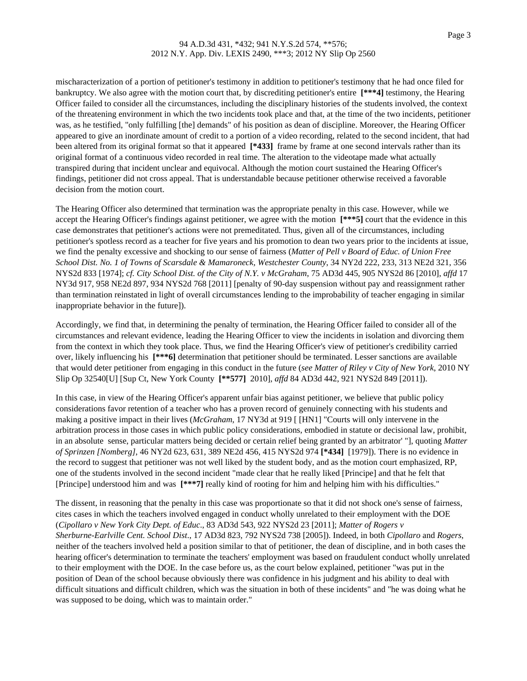## 94 A.D.3d 431, \*432; 941 N.Y.S.2d 574, \*\*576; 2012 N.Y. App. Div. LEXIS 2490, \*\*\*3; 2012 NY Slip Op 2560

mischaracterization of a portion of petitioner's testimony in addition to petitioner's testimony that he had once filed for bankruptcy. We also agree with the motion court that, by discrediting petitioner's entire **[\*\*\*4]** testimony, the Hearing Officer failed to consider all the circumstances, including the disciplinary histories of the students involved, the context of the threatening environment in which the two incidents took place and that, at the time of the two incidents, petitioner was, as he testified, "only fulfilling [the] demands" of his position as dean of discipline. Moreover, the Hearing Officer appeared to give an inordinate amount of credit to a portion of a video recording, related to the second incident, that had been altered from its original format so that it appeared **[\*433]** frame by frame at one second intervals rather than its original format of a continuous video recorded in real time. The alteration to the videotape made what actually transpired during that incident unclear and equivocal. Although the motion court sustained the Hearing Officer's findings, petitioner did not cross appeal. That is understandable because petitioner otherwise received a favorable decision from the motion court.

The Hearing Officer also determined that termination was the appropriate penalty in this case. However, while we accept the Hearing Officer's findings against petitioner, we agree with the motion **[\*\*\*5]** court that the evidence in this case demonstrates that petitioner's actions were not premeditated. Thus, given all of the circumstances, including petitioner's spotless record as a teacher for five years and his promotion to dean two years prior to the incidents at issue, we find the penalty excessive and shocking to our sense of fairness (*Matter of Pell v Board of Educ. of Union Free School Dist. No. 1 of Towns of Scarsdale & Mamaroneck, Westchester County*, 34 NY2d 222, 233, 313 NE2d 321, 356 NYS2d 833 [1974]; *cf. City School Dist. of the City of N.Y. v McGraham*, 75 AD3d 445, 905 NYS2d 86 [2010], *affd* 17 NY3d 917, 958 NE2d 897, 934 NYS2d 768 [2011] [penalty of 90-day suspension without pay and reassignment rather than termination reinstated in light of overall circumstances lending to the improbability of teacher engaging in similar inappropriate behavior in the future]).

Accordingly, we find that, in determining the penalty of termination, the Hearing Officer failed to consider all of the circumstances and relevant evidence, leading the Hearing Officer to view the incidents in isolation and divorcing them from the context in which they took place. Thus, we find the Hearing Officer's view of petitioner's credibility carried over, likely influencing his **[\*\*\*6]** determination that petitioner should be terminated. Lesser sanctions are available that would deter petitioner from engaging in this conduct in the future (*see Matter of Riley v City of New York*, 2010 NY Slip Op 32540[U] [Sup Ct, New York County **[\*\*577]** 2010], *affd* 84 AD3d 442, 921 NYS2d 849 [2011]).

In this case, in view of the Hearing Officer's apparent unfair bias against petitioner, we believe that public policy considerations favor retention of a teacher who has a proven record of genuinely connecting with his students and making a positive impact in their lives (*McGraham*, 17 NY3d at 919 [ [HN1] "Courts will only intervene in the arbitration process in those cases in which public policy considerations, embodied in statute or decisional law, prohibit, in an absolute sense, particular matters being decided or certain relief being granted by an arbitrator' "], quoting *Matter of Sprinzen [Nomberg]*, 46 NY2d 623, 631, 389 NE2d 456, 415 NYS2d 974 **[\*434]** [1979]). There is no evidence in the record to suggest that petitioner was not well liked by the student body, and as the motion court emphasized, RP, one of the students involved in the second incident "made clear that he really liked [Principe] and that he felt that [Principe] understood him and was **[\*\*\*7]** really kind of rooting for him and helping him with his difficulties."

The dissent, in reasoning that the penalty in this case was proportionate so that it did not shock one's sense of fairness, cites cases in which the teachers involved engaged in conduct wholly unrelated to their employment with the DOE (*Cipollaro v New York City Dept. of Educ*., 83 AD3d 543, 922 NYS2d 23 [2011]; *Matter of Rogers v Sherburne-Earlville Cent. School Dist*., 17 AD3d 823, 792 NYS2d 738 [2005]). Indeed, in both *Cipollaro* and *Rogers*, neither of the teachers involved held a position similar to that of petitioner, the dean of discipline, and in both cases the hearing officer's determination to terminate the teachers' employment was based on fraudulent conduct wholly unrelated to their employment with the DOE. In the case before us, as the court below explained, petitioner "was put in the position of Dean of the school because obviously there was confidence in his judgment and his ability to deal with difficult situations and difficult children, which was the situation in both of these incidents" and "he was doing what he was supposed to be doing, which was to maintain order."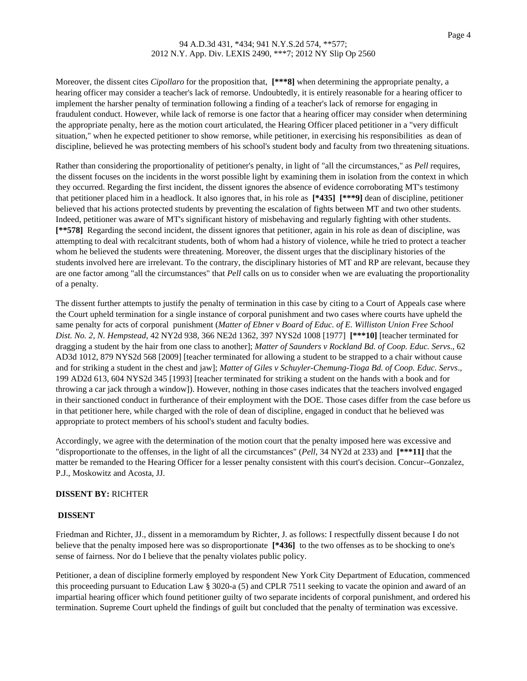### 94 A.D.3d 431, \*434; 941 N.Y.S.2d 574, \*\*577; 2012 N.Y. App. Div. LEXIS 2490, \*\*\*7; 2012 NY Slip Op 2560

Moreover, the dissent cites *Cipollaro* for the proposition that, **[\*\*\*8]** when determining the appropriate penalty, a hearing officer may consider a teacher's lack of remorse. Undoubtedly, it is entirely reasonable for a hearing officer to implement the harsher penalty of termination following a finding of a teacher's lack of remorse for engaging in fraudulent conduct. However, while lack of remorse is one factor that a hearing officer may consider when determining the appropriate penalty, here as the motion court articulated, the Hearing Officer placed petitioner in a "very difficult situation," when he expected petitioner to show remorse, while petitioner, in exercising his responsibilities as dean of discipline, believed he was protecting members of his school's student body and faculty from two threatening situations.

Rather than considering the proportionality of petitioner's penalty, in light of "all the circumstances," as *Pell* requires, the dissent focuses on the incidents in the worst possible light by examining them in isolation from the context in which they occurred. Regarding the first incident, the dissent ignores the absence of evidence corroborating MT's testimony that petitioner placed him in a headlock. It also ignores that, in his role as **[\*435] [\*\*\*9]** dean of discipline, petitioner believed that his actions protected students by preventing the escalation of fights between MT and two other students. Indeed, petitioner was aware of MT's significant history of misbehaving and regularly fighting with other students. **[\*\*578]** Regarding the second incident, the dissent ignores that petitioner, again in his role as dean of discipline, was attempting to deal with recalcitrant students, both of whom had a history of violence, while he tried to protect a teacher whom he believed the students were threatening. Moreover, the dissent urges that the disciplinary histories of the students involved here are irrelevant. To the contrary, the disciplinary histories of MT and RP are relevant, because they are one factor among "all the circumstances" that *Pell* calls on us to consider when we are evaluating the proportionality of a penalty.

The dissent further attempts to justify the penalty of termination in this case by citing to a Court of Appeals case where the Court upheld termination for a single instance of corporal punishment and two cases where courts have upheld the same penalty for acts of corporal punishment (*Matter of Ebner v Board of Educ. of E. Williston Union Free School Dist. No. 2, N. Hempstead*, 42 NY2d 938, 366 NE2d 1362, 397 NYS2d 1008 [1977] **[\*\*\*10]** [teacher terminated for dragging a student by the hair from one class to another]; *Matter of Saunders v Rockland Bd. of Coop. Educ. Servs*., 62 AD3d 1012, 879 NYS2d 568 [2009] [teacher terminated for allowing a student to be strapped to a chair without cause and for striking a student in the chest and jaw]; *Matter of Giles v Schuyler-Chemung-Tioga Bd. of Coop. Educ. Servs*., 199 AD2d 613, 604 NYS2d 345 [1993] [teacher terminated for striking a student on the hands with a book and for throwing a car jack through a window]). However, nothing in those cases indicates that the teachers involved engaged in their sanctioned conduct in furtherance of their employment with the DOE. Those cases differ from the case before us in that petitioner here, while charged with the role of dean of discipline, engaged in conduct that he believed was appropriate to protect members of his school's student and faculty bodies.

Accordingly, we agree with the determination of the motion court that the penalty imposed here was excessive and "disproportionate to the offenses, in the light of all the circumstances" (*Pell*, 34 NY2d at 233) and **[\*\*\*11]** that the matter be remanded to the Hearing Officer for a lesser penalty consistent with this court's decision. Concur--Gonzalez, P.J., Moskowitz and Acosta, JJ.

# **DISSENT BY:** RICHTER

#### **DISSENT**

Friedman and Richter, JJ., dissent in a memoramdum by Richter, J. as follows: I respectfully dissent because I do not believe that the penalty imposed here was so disproportionate **[\*436]** to the two offenses as to be shocking to one's sense of fairness. Nor do I believe that the penalty violates public policy.

Petitioner, a dean of discipline formerly employed by respondent New York City Department of Education, commenced this proceeding pursuant to Education Law § 3020-a (5) and CPLR 7511 seeking to vacate the opinion and award of an impartial hearing officer which found petitioner guilty of two separate incidents of corporal punishment, and ordered his termination. Supreme Court upheld the findings of guilt but concluded that the penalty of termination was excessive.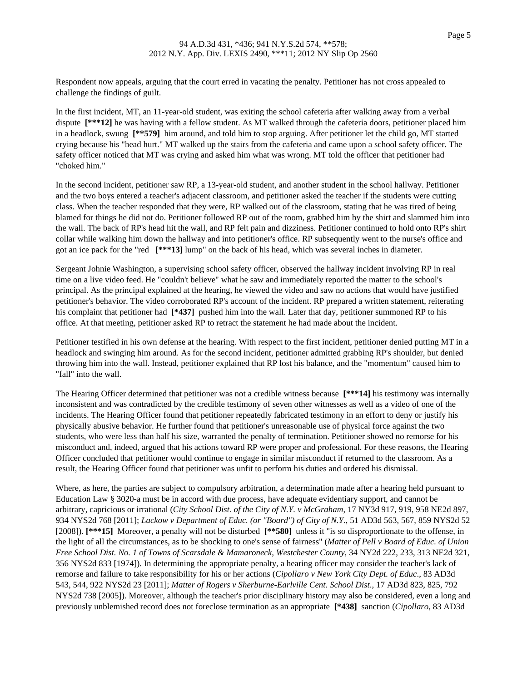## 94 A.D.3d 431, \*436; 941 N.Y.S.2d 574, \*\*578; 2012 N.Y. App. Div. LEXIS 2490, \*\*\*11; 2012 NY Slip Op 2560

Respondent now appeals, arguing that the court erred in vacating the penalty. Petitioner has not cross appealed to challenge the findings of guilt.

In the first incident, MT, an 11-year-old student, was exiting the school cafeteria after walking away from a verbal dispute **[\*\*\*12]** he was having with a fellow student. As MT walked through the cafeteria doors, petitioner placed him in a headlock, swung **[\*\*579]** him around, and told him to stop arguing. After petitioner let the child go, MT started crying because his "head hurt." MT walked up the stairs from the cafeteria and came upon a school safety officer. The safety officer noticed that MT was crying and asked him what was wrong. MT told the officer that petitioner had "choked him."

In the second incident, petitioner saw RP, a 13-year-old student, and another student in the school hallway. Petitioner and the two boys entered a teacher's adjacent classroom, and petitioner asked the teacher if the students were cutting class. When the teacher responded that they were, RP walked out of the classroom, stating that he was tired of being blamed for things he did not do. Petitioner followed RP out of the room, grabbed him by the shirt and slammed him into the wall. The back of RP's head hit the wall, and RP felt pain and dizziness. Petitioner continued to hold onto RP's shirt collar while walking him down the hallway and into petitioner's office. RP subsequently went to the nurse's office and got an ice pack for the "red **[\*\*\*13]** lump" on the back of his head, which was several inches in diameter.

Sergeant Johnie Washington, a supervising school safety officer, observed the hallway incident involving RP in real time on a live video feed. He "couldn't believe" what he saw and immediately reported the matter to the school's principal. As the principal explained at the hearing, he viewed the video and saw no actions that would have justified petitioner's behavior. The video corroborated RP's account of the incident. RP prepared a written statement, reiterating his complaint that petitioner had **[\*437]** pushed him into the wall. Later that day, petitioner summoned RP to his office. At that meeting, petitioner asked RP to retract the statement he had made about the incident.

Petitioner testified in his own defense at the hearing. With respect to the first incident, petitioner denied putting MT in a headlock and swinging him around. As for the second incident, petitioner admitted grabbing RP's shoulder, but denied throwing him into the wall. Instead, petitioner explained that RP lost his balance, and the "momentum" caused him to "fall" into the wall.

The Hearing Officer determined that petitioner was not a credible witness because **[\*\*\*14]** his testimony was internally inconsistent and was contradicted by the credible testimony of seven other witnesses as well as a video of one of the incidents. The Hearing Officer found that petitioner repeatedly fabricated testimony in an effort to deny or justify his physically abusive behavior. He further found that petitioner's unreasonable use of physical force against the two students, who were less than half his size, warranted the penalty of termination. Petitioner showed no remorse for his misconduct and, indeed, argued that his actions toward RP were proper and professional. For these reasons, the Hearing Officer concluded that petitioner would continue to engage in similar misconduct if returned to the classroom. As a result, the Hearing Officer found that petitioner was unfit to perform his duties and ordered his dismissal.

Where, as here, the parties are subject to compulsory arbitration, a determination made after a hearing held pursuant to Education Law § 3020-a must be in accord with due process, have adequate evidentiary support, and cannot be arbitrary, capricious or irrational (*City School Dist. of the City of N.Y. v McGraham*, 17 NY3d 917, 919, 958 NE2d 897, 934 NYS2d 768 [2011]; *Lackow v Department of Educ. (or "Board") of City of N.Y*., 51 AD3d 563, 567, 859 NYS2d 52 [2008]). **[\*\*\*15]** Moreover, a penalty will not be disturbed **[\*\*580]** unless it "is so disproportionate to the offense, in the light of all the circumstances, as to be shocking to one's sense of fairness" (*Matter of Pell v Board of Educ. of Union Free School Dist. No. 1 of Towns of Scarsdale & Mamaroneck, Westchester County*, 34 NY2d 222, 233, 313 NE2d 321, 356 NYS2d 833 [1974]). In determining the appropriate penalty, a hearing officer may consider the teacher's lack of remorse and failure to take responsibility for his or her actions (*Cipollaro v New York City Dept. of Educ*., 83 AD3d 543, 544, 922 NYS2d 23 [2011]; *Matter of Rogers v Sherburne-Earlville Cent. School Dist*., 17 AD3d 823, 825, 792 NYS2d 738 [2005]). Moreover, although the teacher's prior disciplinary history may also be considered, even a long and previously unblemished record does not foreclose termination as an appropriate **[\*438]** sanction (*Cipollaro*, 83 AD3d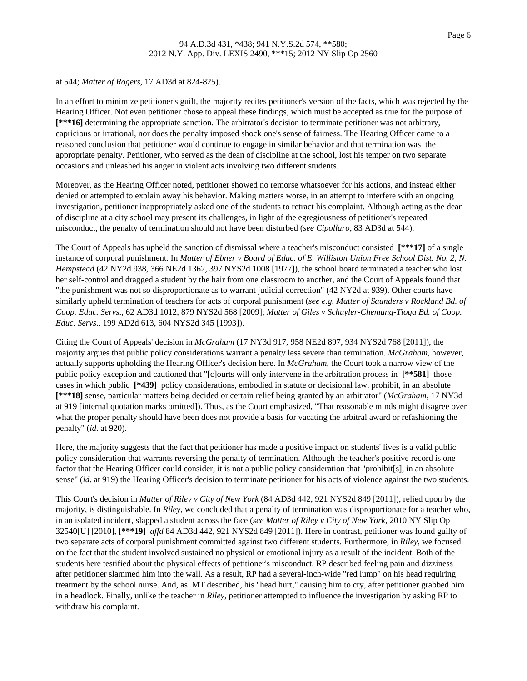#### at 544; *Matter of Rogers*, 17 AD3d at 824-825).

In an effort to minimize petitioner's guilt, the majority recites petitioner's version of the facts, which was rejected by the Hearing Officer. Not even petitioner chose to appeal these findings, which must be accepted as true for the purpose of **[\*\*\*16]** determining the appropriate sanction. The arbitrator's decision to terminate petitioner was not arbitrary, capricious or irrational, nor does the penalty imposed shock one's sense of fairness. The Hearing Officer came to a reasoned conclusion that petitioner would continue to engage in similar behavior and that termination was the appropriate penalty. Petitioner, who served as the dean of discipline at the school, lost his temper on two separate occasions and unleashed his anger in violent acts involving two different students.

Moreover, as the Hearing Officer noted, petitioner showed no remorse whatsoever for his actions, and instead either denied or attempted to explain away his behavior. Making matters worse, in an attempt to interfere with an ongoing investigation, petitioner inappropriately asked one of the students to retract his complaint. Although acting as the dean of discipline at a city school may present its challenges, in light of the egregiousness of petitioner's repeated misconduct, the penalty of termination should not have been disturbed (*see Cipollaro*, 83 AD3d at 544).

The Court of Appeals has upheld the sanction of dismissal where a teacher's misconduct consisted **[\*\*\*17]** of a single instance of corporal punishment. In *Matter of Ebner v Board of Educ. of E. Williston Union Free School Dist. No. 2, N. Hempstead* (42 NY2d 938, 366 NE2d 1362, 397 NYS2d 1008 [1977]), the school board terminated a teacher who lost her self-control and dragged a student by the hair from one classroom to another, and the Court of Appeals found that "the punishment was not so disproportionate as to warrant judicial correction" (42 NY2d at 939). Other courts have similarly upheld termination of teachers for acts of corporal punishment (*see e.g. Matter of Saunders v Rockland Bd. of Coop. Educ. Servs*., 62 AD3d 1012, 879 NYS2d 568 [2009]; *Matter of Giles v Schuyler-Chemung-Tioga Bd. of Coop. Educ. Servs*., 199 AD2d 613, 604 NYS2d 345 [1993]).

Citing the Court of Appeals' decision in *McGraham* (17 NY3d 917, 958 NE2d 897, 934 NYS2d 768 [2011]), the majority argues that public policy considerations warrant a penalty less severe than termination. *McGraham*, however, actually supports upholding the Hearing Officer's decision here. In *McGraham*, the Court took a narrow view of the public policy exception and cautioned that "[c]ourts will only intervene in the arbitration process in **[\*\*581]** those cases in which public **[\*439]** policy considerations, embodied in statute or decisional law, prohibit, in an absolute **[\*\*\*18]** sense, particular matters being decided or certain relief being granted by an arbitrator" (*McGraham*, 17 NY3d at 919 [internal quotation marks omitted]). Thus, as the Court emphasized, "That reasonable minds might disagree over what the proper penalty should have been does not provide a basis for vacating the arbitral award or refashioning the penalty" (*id*. at 920).

Here, the majority suggests that the fact that petitioner has made a positive impact on students' lives is a valid public policy consideration that warrants reversing the penalty of termination. Although the teacher's positive record is one factor that the Hearing Officer could consider, it is not a public policy consideration that "prohibit[s], in an absolute sense" (*id*. at 919) the Hearing Officer's decision to terminate petitioner for his acts of violence against the two students.

This Court's decision in *Matter of Riley v City of New York* (84 AD3d 442, 921 NYS2d 849 [2011]), relied upon by the majority, is distinguishable. In *Riley*, we concluded that a penalty of termination was disproportionate for a teacher who, in an isolated incident, slapped a student across the face (*see Matter of Riley v City of New York*, 2010 NY Slip Op 32540[U] [2010], **[\*\*\*19]** *affd* 84 AD3d 442, 921 NYS2d 849 [2011]). Here in contrast, petitioner was found guilty of two separate acts of corporal punishment committed against two different students. Furthermore, in *Riley*, we focused on the fact that the student involved sustained no physical or emotional injury as a result of the incident. Both of the students here testified about the physical effects of petitioner's misconduct. RP described feeling pain and dizziness after petitioner slammed him into the wall. As a result, RP had a several-inch-wide "red lump" on his head requiring treatment by the school nurse. And, as MT described, his "head hurt," causing him to cry, after petitioner grabbed him in a headlock. Finally, unlike the teacher in *Riley*, petitioner attempted to influence the investigation by asking RP to withdraw his complaint.